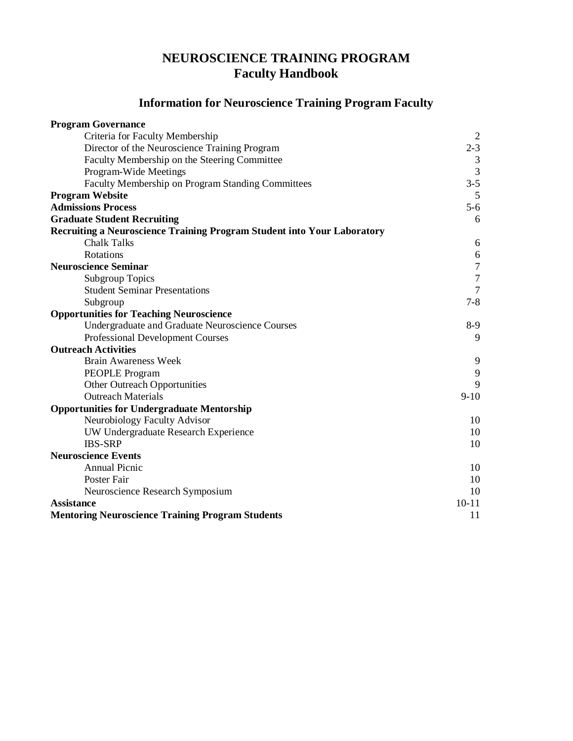# **NEUROSCIENCE TRAINING PROGRAM Faculty Handbook**

# **Information for Neuroscience Training Program Faculty**

| <b>Program Governance</b>                                               |                  |
|-------------------------------------------------------------------------|------------------|
| Criteria for Faculty Membership                                         |                  |
| Director of the Neuroscience Training Program                           | $2 - 3$          |
| Faculty Membership on the Steering Committee                            | $\mathfrak{Z}$   |
| Program-Wide Meetings                                                   | $\overline{3}$   |
| Faculty Membership on Program Standing Committees                       | $3 - 5$          |
| <b>Program Website</b>                                                  | 5                |
| <b>Admissions Process</b>                                               | $5 - 6$          |
| <b>Graduate Student Recruiting</b>                                      | 6                |
| Recruiting a Neuroscience Training Program Student into Your Laboratory |                  |
| <b>Chalk Talks</b>                                                      | 6                |
| Rotations                                                               | $\sqrt{6}$       |
| <b>Neuroscience Seminar</b>                                             | $\overline{7}$   |
| <b>Subgroup Topics</b>                                                  | $\boldsymbol{7}$ |
| <b>Student Seminar Presentations</b>                                    | $\overline{7}$   |
| Subgroup                                                                | $7 - 8$          |
| <b>Opportunities for Teaching Neuroscience</b>                          |                  |
| Undergraduate and Graduate Neuroscience Courses                         | $8-9$            |
| <b>Professional Development Courses</b>                                 | 9                |
| <b>Outreach Activities</b>                                              |                  |
| <b>Brain Awareness Week</b>                                             | 9                |
| <b>PEOPLE</b> Program                                                   | 9                |
| <b>Other Outreach Opportunities</b>                                     | 9                |
| <b>Outreach Materials</b>                                               | $9 - 10$         |
| <b>Opportunities for Undergraduate Mentorship</b>                       |                  |
| Neurobiology Faculty Advisor                                            | 10               |
| UW Undergraduate Research Experience                                    | 10               |
| <b>IBS-SRP</b>                                                          | 10               |
| <b>Neuroscience Events</b>                                              |                  |
| Annual Picnic                                                           | 10               |
| Poster Fair                                                             | 10               |
| Neuroscience Research Symposium                                         | 10               |
| <b>Assistance</b>                                                       | $10 - 11$        |
| <b>Mentoring Neuroscience Training Program Students</b>                 | 11               |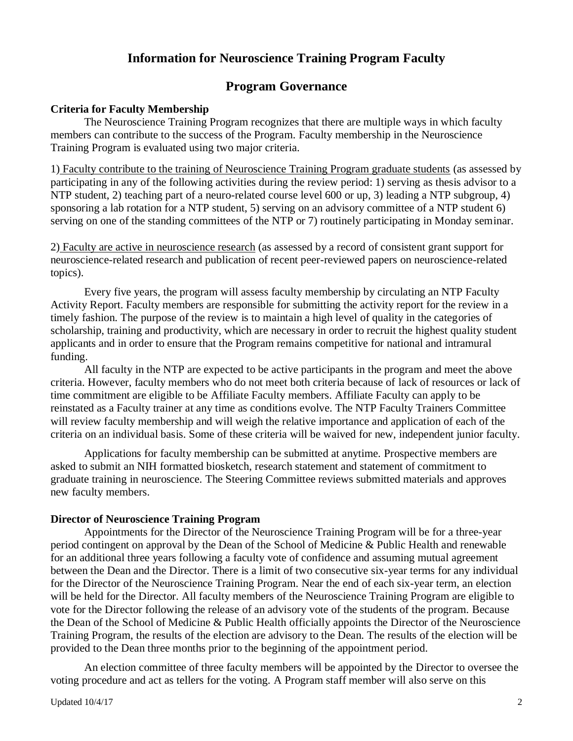## **Information for Neuroscience Training Program Faculty**

## **Program Governance**

#### **Criteria for Faculty Membership**

The Neuroscience Training Program recognizes that there are multiple ways in which faculty members can contribute to the success of the Program. Faculty membership in the Neuroscience Training Program is evaluated using two major criteria.

1) Faculty contribute to the training of Neuroscience Training Program graduate students (as assessed by participating in any of the following activities during the review period: 1) serving as thesis advisor to a NTP student, 2) teaching part of a neuro-related course level 600 or up, 3) leading a NTP subgroup, 4) sponsoring a lab rotation for a NTP student, 5) serving on an advisory committee of a NTP student 6) serving on one of the standing committees of the NTP or 7) routinely participating in Monday seminar.

2) Faculty are active in neuroscience research (as assessed by a record of consistent grant support for neuroscience-related research and publication of recent peer-reviewed papers on neuroscience-related topics).

Every five years, the program will assess faculty membership by circulating an NTP Faculty Activity Report. Faculty members are responsible for submitting the activity report for the review in a timely fashion. The purpose of the review is to maintain a high level of quality in the categories of scholarship, training and productivity, which are necessary in order to recruit the highest quality student applicants and in order to ensure that the Program remains competitive for national and intramural funding.

All faculty in the NTP are expected to be active participants in the program and meet the above criteria. However, faculty members who do not meet both criteria because of lack of resources or lack of time commitment are eligible to be Affiliate Faculty members. Affiliate Faculty can apply to be reinstated as a Faculty trainer at any time as conditions evolve. The NTP Faculty Trainers Committee will review faculty membership and will weigh the relative importance and application of each of the criteria on an individual basis. Some of these criteria will be waived for new, independent junior faculty.

Applications for faculty membership can be submitted at anytime. Prospective members are asked to submit an NIH formatted biosketch, research statement and statement of commitment to graduate training in neuroscience. The Steering Committee reviews submitted materials and approves new faculty members.

#### **Director of Neuroscience Training Program**

Appointments for the Director of the Neuroscience Training Program will be for a three-year period contingent on approval by the Dean of the School of Medicine & Public Health and renewable for an additional three years following a faculty vote of confidence and assuming mutual agreement between the Dean and the Director. There is a limit of two consecutive six-year terms for any individual for the Director of the Neuroscience Training Program. Near the end of each six-year term, an election will be held for the Director. All faculty members of the Neuroscience Training Program are eligible to vote for the Director following the release of an advisory vote of the students of the program. Because the Dean of the School of Medicine & Public Health officially appoints the Director of the Neuroscience Training Program, the results of the election are advisory to the Dean. The results of the election will be provided to the Dean three months prior to the beginning of the appointment period.

An election committee of three faculty members will be appointed by the Director to oversee the voting procedure and act as tellers for the voting. A Program staff member will also serve on this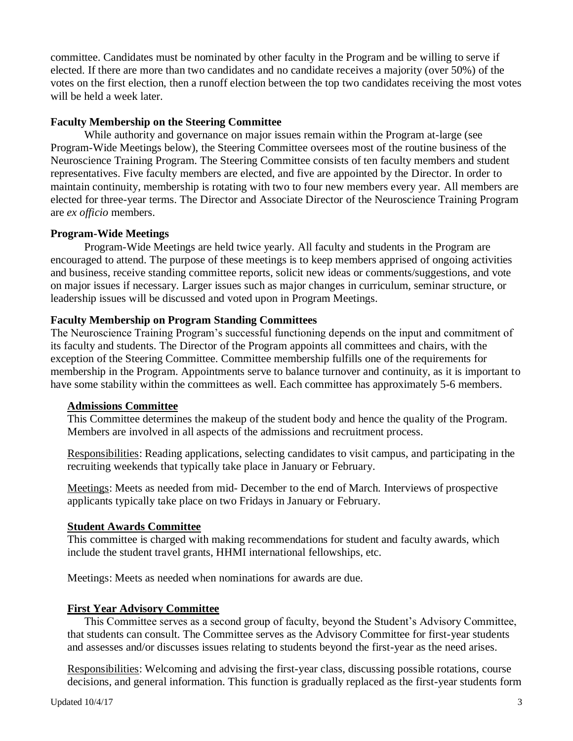committee. Candidates must be nominated by other faculty in the Program and be willing to serve if elected. If there are more than two candidates and no candidate receives a majority (over 50%) of the votes on the first election, then a runoff election between the top two candidates receiving the most votes will be held a week later.

### **Faculty Membership on the Steering Committee**

While authority and governance on major issues remain within the Program at-large (see Program-Wide Meetings below), the Steering Committee oversees most of the routine business of the Neuroscience Training Program. The Steering Committee consists of ten faculty members and student representatives. Five faculty members are elected, and five are appointed by the Director. In order to maintain continuity, membership is rotating with two to four new members every year. All members are elected for three-year terms. The Director and Associate Director of the Neuroscience Training Program are *ex officio* members.

### **Program-Wide Meetings**

Program-Wide Meetings are held twice yearly. All faculty and students in the Program are encouraged to attend. The purpose of these meetings is to keep members apprised of ongoing activities and business, receive standing committee reports, solicit new ideas or comments/suggestions, and vote on major issues if necessary. Larger issues such as major changes in curriculum, seminar structure, or leadership issues will be discussed and voted upon in Program Meetings.

### **Faculty Membership on Program Standing Committees**

The Neuroscience Training Program's successful functioning depends on the input and commitment of its faculty and students. The Director of the Program appoints all committees and chairs, with the exception of the Steering Committee. Committee membership fulfills one of the requirements for membership in the Program. Appointments serve to balance turnover and continuity, as it is important to have some stability within the committees as well. Each committee has approximately 5-6 members.

### **Admissions Committee**

This Committee determines the makeup of the student body and hence the quality of the Program. Members are involved in all aspects of the admissions and recruitment process.

Responsibilities: Reading applications, selecting candidates to visit campus, and participating in the recruiting weekends that typically take place in January or February.

Meetings: Meets as needed from mid- December to the end of March. Interviews of prospective applicants typically take place on two Fridays in January or February.

### **Student Awards Committee**

This committee is charged with making recommendations for student and faculty awards, which include the student travel grants, HHMI international fellowships, etc.

Meetings: Meets as needed when nominations for awards are due.

#### **First Year Advisory Committee**

This Committee serves as a second group of faculty, beyond the Student's Advisory Committee, that students can consult. The Committee serves as the Advisory Committee for first-year students and assesses and/or discusses issues relating to students beyond the first-year as the need arises.

Responsibilities: Welcoming and advising the first-year class, discussing possible rotations, course decisions, and general information. This function is gradually replaced as the first-year students form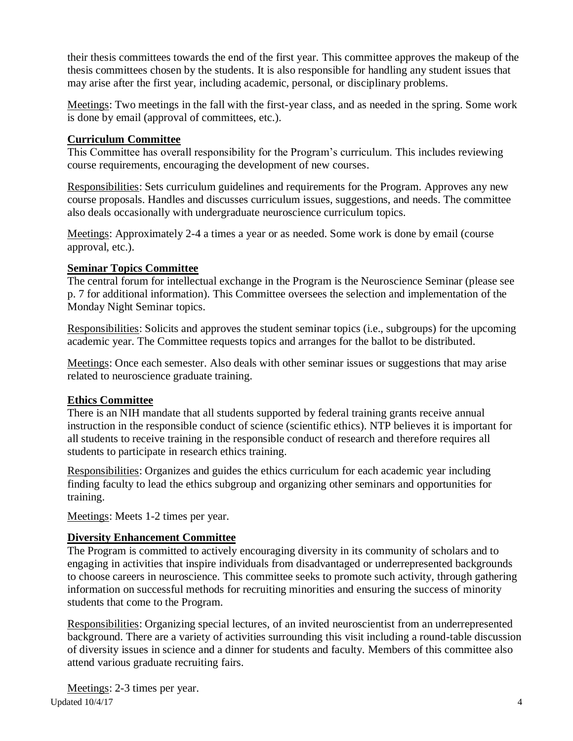their thesis committees towards the end of the first year. This committee approves the makeup of the thesis committees chosen by the students. It is also responsible for handling any student issues that may arise after the first year, including academic, personal, or disciplinary problems.

Meetings: Two meetings in the fall with the first-year class, and as needed in the spring. Some work is done by email (approval of committees, etc.).

## **Curriculum Committee**

This Committee has overall responsibility for the Program's curriculum. This includes reviewing course requirements, encouraging the development of new courses.

Responsibilities: Sets curriculum guidelines and requirements for the Program. Approves any new course proposals. Handles and discusses curriculum issues, suggestions, and needs. The committee also deals occasionally with undergraduate neuroscience curriculum topics.

Meetings: Approximately 2-4 a times a year or as needed. Some work is done by email (course approval, etc.).

## **Seminar Topics Committee**

The central forum for intellectual exchange in the Program is the Neuroscience Seminar (please see p. 7 for additional information). This Committee oversees the selection and implementation of the Monday Night Seminar topics.

Responsibilities: Solicits and approves the student seminar topics (i.e., subgroups) for the upcoming academic year. The Committee requests topics and arranges for the ballot to be distributed.

Meetings: Once each semester. Also deals with other seminar issues or suggestions that may arise related to neuroscience graduate training.

## **Ethics Committee**

There is an NIH mandate that all students supported by federal training grants receive annual instruction in the responsible conduct of science (scientific ethics). NTP believes it is important for all students to receive training in the responsible conduct of research and therefore requires all students to participate in research ethics training.

Responsibilities: Organizes and guides the ethics curriculum for each academic year including finding faculty to lead the ethics subgroup and organizing other seminars and opportunities for training.

Meetings: Meets 1-2 times per year.

## **Diversity Enhancement Committee**

The Program is committed to actively encouraging diversity in its community of scholars and to engaging in activities that inspire individuals from disadvantaged or underrepresented backgrounds to choose careers in neuroscience. This committee seeks to promote such activity, through gathering information on successful methods for recruiting minorities and ensuring the success of minority students that come to the Program.

Responsibilities: Organizing special lectures, of an invited neuroscientist from an underrepresented background. There are a variety of activities surrounding this visit including a round-table discussion of diversity issues in science and a dinner for students and faculty. Members of this committee also attend various graduate recruiting fairs.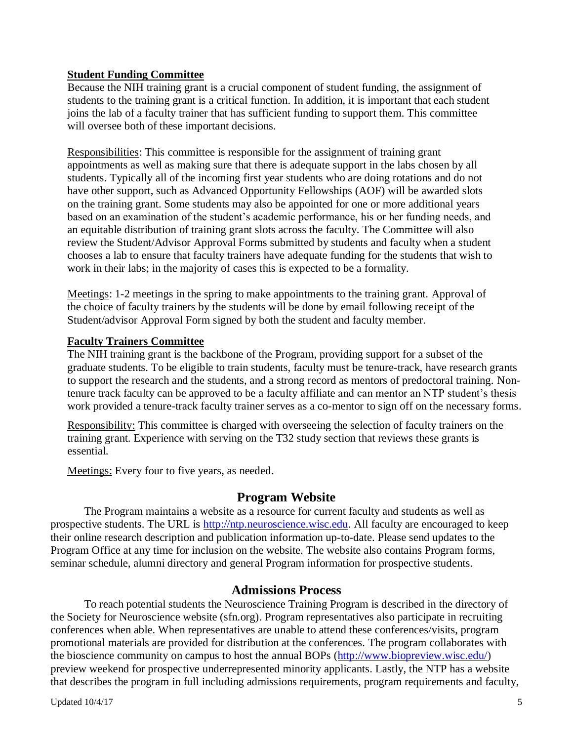## **Student Funding Committee**

Because the NIH training grant is a crucial component of student funding, the assignment of students to the training grant is a critical function. In addition, it is important that each student joins the lab of a faculty trainer that has sufficient funding to support them. This committee will oversee both of these important decisions.

Responsibilities: This committee is responsible for the assignment of training grant appointments as well as making sure that there is adequate support in the labs chosen by all students. Typically all of the incoming first year students who are doing rotations and do not have other support, such as Advanced Opportunity Fellowships (AOF) will be awarded slots on the training grant. Some students may also be appointed for one or more additional years based on an examination of the student's academic performance, his or her funding needs, and an equitable distribution of training grant slots across the faculty. The Committee will also review the Student/Advisor Approval Forms submitted by students and faculty when a student chooses a lab to ensure that faculty trainers have adequate funding for the students that wish to work in their labs; in the majority of cases this is expected to be a formality.

Meetings: 1-2 meetings in the spring to make appointments to the training grant. Approval of the choice of faculty trainers by the students will be done by email following receipt of the Student/advisor Approval Form signed by both the student and faculty member.

## **Faculty Trainers Committee**

The NIH training grant is the backbone of the Program, providing support for a subset of the graduate students. To be eligible to train students, faculty must be tenure-track, have research grants to support the research and the students, and a strong record as mentors of predoctoral training. Nontenure track faculty can be approved to be a faculty affiliate and can mentor an NTP student's thesis work provided a tenure-track faculty trainer serves as a co-mentor to sign off on the necessary forms.

Responsibility: This committee is charged with overseeing the selection of faculty trainers on the training grant. Experience with serving on the T32 study section that reviews these grants is essential.

Meetings: Every four to five years, as needed.

## **Program Website**

The Program maintains a website as a resource for current faculty and students as well as prospective students. The URL is [http://ntp.neuroscience.wisc.edu.](http://ntp.neuroscience.wisc.edu/) All faculty are encouraged to keep their online research description and publication information up-to-date. Please send updates to the Program Office at any time for inclusion on the website. The website also contains Program forms, seminar schedule, alumni directory and general Program information for prospective students.

## **Admissions Process**

To reach potential students the Neuroscience Training Program is described in the directory of the Society for Neuroscience website (sfn.org). Program representatives also participate in recruiting conferences when able. When representatives are unable to attend these conferences/visits, program promotional materials are provided for distribution at the conferences. The program collaborates with the bioscience community on campus to host the annual BOPs [\(http://www.biopreview.wisc.edu/\)](http://www.biopreview.wisc.edu/) preview weekend for prospective underrepresented minority applicants. Lastly, the NTP has a website that describes the program in full including admissions requirements, program requirements and faculty,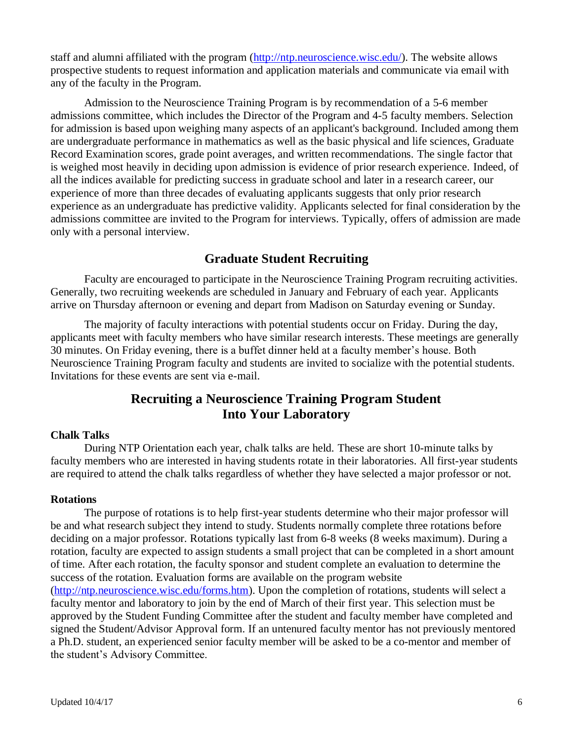staff and alumni affiliated with the program [\(http://ntp.neuroscience.wisc.edu/\)](http://ntp.neuroscience.wisc.edu/). The website allows prospective students to request information and application materials and communicate via email with any of the faculty in the Program.

Admission to the Neuroscience Training Program is by recommendation of a 5-6 member admissions committee, which includes the Director of the Program and 4-5 faculty members. Selection for admission is based upon weighing many aspects of an applicant's background. Included among them are undergraduate performance in mathematics as well as the basic physical and life sciences, Graduate Record Examination scores, grade point averages, and written recommendations. The single factor that is weighed most heavily in deciding upon admission is evidence of prior research experience. Indeed, of all the indices available for predicting success in graduate school and later in a research career, our experience of more than three decades of evaluating applicants suggests that only prior research experience as an undergraduate has predictive validity. Applicants selected for final consideration by the admissions committee are invited to the Program for interviews. Typically, offers of admission are made only with a personal interview.

# **Graduate Student Recruiting**

Faculty are encouraged to participate in the Neuroscience Training Program recruiting activities. Generally, two recruiting weekends are scheduled in January and February of each year. Applicants arrive on Thursday afternoon or evening and depart from Madison on Saturday evening or Sunday.

The majority of faculty interactions with potential students occur on Friday. During the day, applicants meet with faculty members who have similar research interests. These meetings are generally 30 minutes. On Friday evening, there is a buffet dinner held at a faculty member's house. Both Neuroscience Training Program faculty and students are invited to socialize with the potential students. Invitations for these events are sent via e-mail.

# **Recruiting a Neuroscience Training Program Student Into Your Laboratory**

## **Chalk Talks**

During NTP Orientation each year, chalk talks are held. These are short 10-minute talks by faculty members who are interested in having students rotate in their laboratories. All first-year students are required to attend the chalk talks regardless of whether they have selected a major professor or not.

## **Rotations**

The purpose of rotations is to help first-year students determine who their major professor will be and what research subject they intend to study. Students normally complete three rotations before deciding on a major professor. Rotations typically last from 6-8 weeks (8 weeks maximum). During a rotation, faculty are expected to assign students a small project that can be completed in a short amount of time. After each rotation, the faculty sponsor and student complete an evaluation to determine the success of the rotation. Evaluation forms are available on the program website [\(http://ntp.neuroscience.wisc.edu/forms.htm\)](http://ntp.neuroscience.wisc.edu/forms.htm). Upon the completion of rotations, students will select a faculty mentor and laboratory to join by the end of March of their first year. This selection must be approved by the Student Funding Committee after the student and faculty member have completed and signed the Student/Advisor Approval form. If an untenured faculty mentor has not previously mentored a Ph.D. student, an experienced senior faculty member will be asked to be a co-mentor and member of the student's Advisory Committee.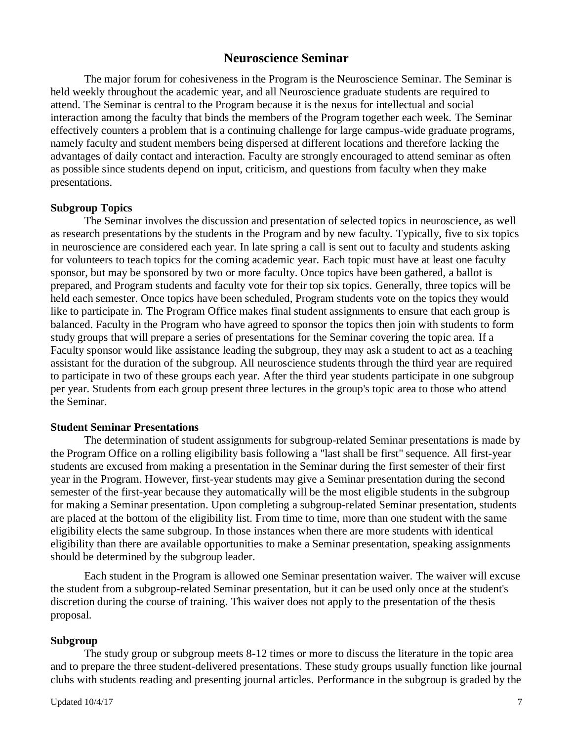## **Neuroscience Seminar**

The major forum for cohesiveness in the Program is the Neuroscience Seminar. The Seminar is held weekly throughout the academic year, and all Neuroscience graduate students are required to attend. The Seminar is central to the Program because it is the nexus for intellectual and social interaction among the faculty that binds the members of the Program together each week. The Seminar effectively counters a problem that is a continuing challenge for large campus-wide graduate programs, namely faculty and student members being dispersed at different locations and therefore lacking the advantages of daily contact and interaction. Faculty are strongly encouraged to attend seminar as often as possible since students depend on input, criticism, and questions from faculty when they make presentations.

#### **Subgroup Topics**

The Seminar involves the discussion and presentation of selected topics in neuroscience, as well as research presentations by the students in the Program and by new faculty. Typically, five to six topics in neuroscience are considered each year. In late spring a call is sent out to faculty and students asking for volunteers to teach topics for the coming academic year. Each topic must have at least one faculty sponsor, but may be sponsored by two or more faculty. Once topics have been gathered, a ballot is prepared, and Program students and faculty vote for their top six topics. Generally, three topics will be held each semester. Once topics have been scheduled, Program students vote on the topics they would like to participate in. The Program Office makes final student assignments to ensure that each group is balanced. Faculty in the Program who have agreed to sponsor the topics then join with students to form study groups that will prepare a series of presentations for the Seminar covering the topic area. If a Faculty sponsor would like assistance leading the subgroup, they may ask a student to act as a teaching assistant for the duration of the subgroup. All neuroscience students through the third year are required to participate in two of these groups each year. After the third year students participate in one subgroup per year. Students from each group present three lectures in the group's topic area to those who attend the Seminar.

#### **Student Seminar Presentations**

The determination of student assignments for subgroup-related Seminar presentations is made by the Program Office on a rolling eligibility basis following a "last shall be first" sequence. All first-year students are excused from making a presentation in the Seminar during the first semester of their first year in the Program. However, first-year students may give a Seminar presentation during the second semester of the first-year because they automatically will be the most eligible students in the subgroup for making a Seminar presentation. Upon completing a subgroup-related Seminar presentation, students are placed at the bottom of the eligibility list. From time to time, more than one student with the same eligibility elects the same subgroup. In those instances when there are more students with identical eligibility than there are available opportunities to make a Seminar presentation, speaking assignments should be determined by the subgroup leader.

Each student in the Program is allowed one Seminar presentation waiver. The waiver will excuse the student from a subgroup-related Seminar presentation, but it can be used only once at the student's discretion during the course of training. This waiver does not apply to the presentation of the thesis proposal.

#### **Subgroup**

The study group or subgroup meets 8-12 times or more to discuss the literature in the topic area and to prepare the three student-delivered presentations. These study groups usually function like journal clubs with students reading and presenting journal articles. Performance in the subgroup is graded by the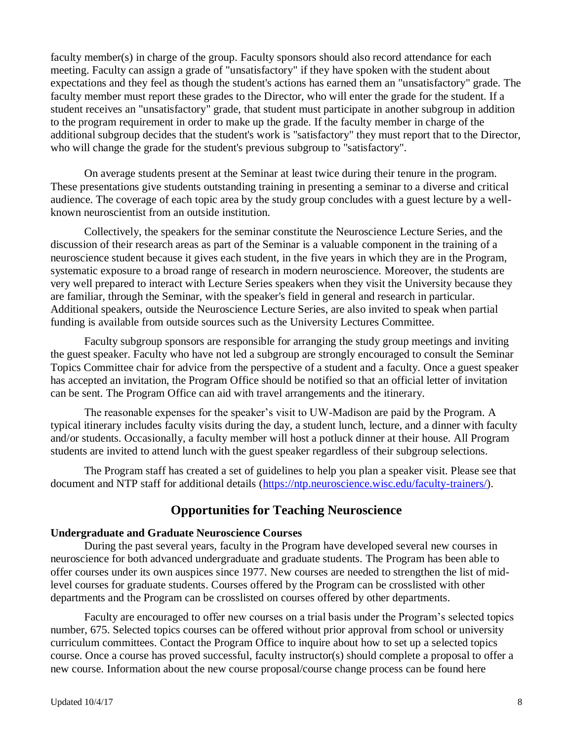faculty member(s) in charge of the group. Faculty sponsors should also record attendance for each meeting. Faculty can assign a grade of "unsatisfactory" if they have spoken with the student about expectations and they feel as though the student's actions has earned them an "unsatisfactory" grade. The faculty member must report these grades to the Director, who will enter the grade for the student. If a student receives an "unsatisfactory" grade, that student must participate in another subgroup in addition to the program requirement in order to make up the grade. If the faculty member in charge of the additional subgroup decides that the student's work is "satisfactory" they must report that to the Director, who will change the grade for the student's previous subgroup to "satisfactory".

On average students present at the Seminar at least twice during their tenure in the program. These presentations give students outstanding training in presenting a seminar to a diverse and critical audience. The coverage of each topic area by the study group concludes with a guest lecture by a wellknown neuroscientist from an outside institution.

Collectively, the speakers for the seminar constitute the Neuroscience Lecture Series, and the discussion of their research areas as part of the Seminar is a valuable component in the training of a neuroscience student because it gives each student, in the five years in which they are in the Program, systematic exposure to a broad range of research in modern neuroscience. Moreover, the students are very well prepared to interact with Lecture Series speakers when they visit the University because they are familiar, through the Seminar, with the speaker's field in general and research in particular. Additional speakers, outside the Neuroscience Lecture Series, are also invited to speak when partial funding is available from outside sources such as the University Lectures Committee.

Faculty subgroup sponsors are responsible for arranging the study group meetings and inviting the guest speaker. Faculty who have not led a subgroup are strongly encouraged to consult the Seminar Topics Committee chair for advice from the perspective of a student and a faculty. Once a guest speaker has accepted an invitation, the Program Office should be notified so that an official letter of invitation can be sent. The Program Office can aid with travel arrangements and the itinerary.

The reasonable expenses for the speaker's visit to UW-Madison are paid by the Program. A typical itinerary includes faculty visits during the day, a student lunch, lecture, and a dinner with faculty and/or students. Occasionally, a faculty member will host a potluck dinner at their house. All Program students are invited to attend lunch with the guest speaker regardless of their subgroup selections.

The Program staff has created a set of guidelines to help you plan a speaker visit. Please see that document and NTP staff for additional details [\(https://ntp.neuroscience.wisc.edu/faculty-trainers/\)](https://ntp.neuroscience.wisc.edu/faculty-trainers/).

# **Opportunities for Teaching Neuroscience**

## **Undergraduate and Graduate Neuroscience Courses**

During the past several years, faculty in the Program have developed several new courses in neuroscience for both advanced undergraduate and graduate students. The Program has been able to offer courses under its own auspices since 1977. New courses are needed to strengthen the list of midlevel courses for graduate students. Courses offered by the Program can be crosslisted with other departments and the Program can be crosslisted on courses offered by other departments.

Faculty are encouraged to offer new courses on a trial basis under the Program's selected topics number, 675. Selected topics courses can be offered without prior approval from school or university curriculum committees. Contact the Program Office to inquire about how to set up a selected topics course. Once a course has proved successful, faculty instructor(s) should complete a proposal to offer a new course. Information about the new course proposal/course change process can be found here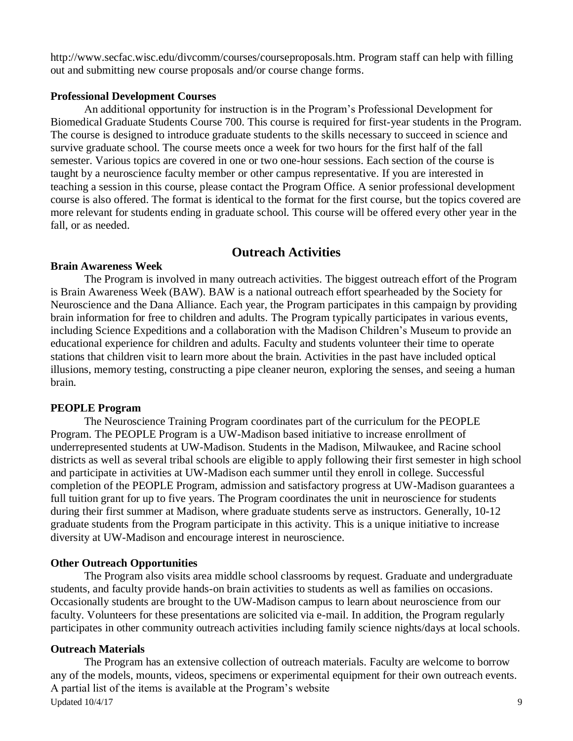http://www.secfac.wisc.edu/divcomm/courses/courseproposals.htm. Program staff can help with filling out and submitting new course proposals and/or course change forms.

#### **Professional Development Courses**

An additional opportunity for instruction is in the Program's Professional Development for Biomedical Graduate Students Course 700. This course is required for first-year students in the Program. The course is designed to introduce graduate students to the skills necessary to succeed in science and survive graduate school. The course meets once a week for two hours for the first half of the fall semester. Various topics are covered in one or two one-hour sessions. Each section of the course is taught by a neuroscience faculty member or other campus representative. If you are interested in teaching a session in this course, please contact the Program Office. A senior professional development course is also offered. The format is identical to the format for the first course, but the topics covered are more relevant for students ending in graduate school. This course will be offered every other year in the fall, or as needed.

## **Outreach Activities**

### **Brain Awareness Week**

The Program is involved in many outreach activities. The biggest outreach effort of the Program is Brain Awareness Week (BAW). BAW is a national outreach effort spearheaded by the Society for Neuroscience and the Dana Alliance. Each year, the Program participates in this campaign by providing brain information for free to children and adults. The Program typically participates in various events, including Science Expeditions and a collaboration with the Madison Children's Museum to provide an educational experience for children and adults. Faculty and students volunteer their time to operate stations that children visit to learn more about the brain. Activities in the past have included optical illusions, memory testing, constructing a pipe cleaner neuron, exploring the senses, and seeing a human brain.

#### **PEOPLE Program**

The Neuroscience Training Program coordinates part of the curriculum for the PEOPLE Program. The PEOPLE Program is a UW-Madison based initiative to increase enrollment of underrepresented students at UW-Madison. Students in the Madison, Milwaukee, and Racine school districts as well as several tribal schools are eligible to apply following their first semester in high school and participate in activities at UW-Madison each summer until they enroll in college. Successful completion of the PEOPLE Program, admission and satisfactory progress at UW-Madison guarantees a full tuition grant for up to five years. The Program coordinates the unit in neuroscience for students during their first summer at Madison, where graduate students serve as instructors. Generally, 10-12 graduate students from the Program participate in this activity. This is a unique initiative to increase diversity at UW-Madison and encourage interest in neuroscience.

## **Other Outreach Opportunities**

The Program also visits area middle school classrooms by request. Graduate and undergraduate students, and faculty provide hands-on brain activities to students as well as families on occasions. Occasionally students are brought to the UW-Madison campus to learn about neuroscience from our faculty. Volunteers for these presentations are solicited via e-mail. In addition, the Program regularly participates in other community outreach activities including family science nights/days at local schools.

## **Outreach Materials**

Updated  $10/4/17$  9 The Program has an extensive collection of outreach materials. Faculty are welcome to borrow any of the models, mounts, videos, specimens or experimental equipment for their own outreach events. A partial list of the items is available at the Program's website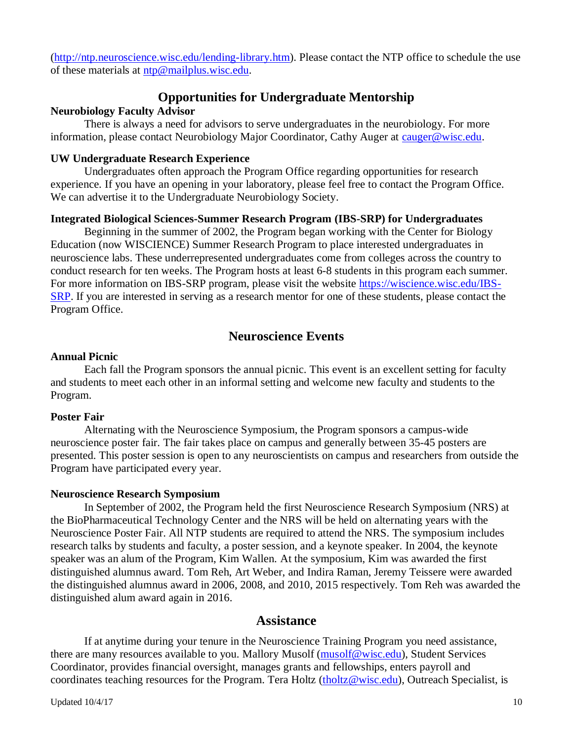[\(http://ntp.neuroscience.wisc.edu/lending-library.htm\)](http://ntp.neuroscience.wisc.edu/lending-library.htm). Please contact the NTP office to schedule the use of these materials at [ntp@mailplus.wisc.edu.](mailto:ntp@mailplus.wisc.edu)

## **Opportunities for Undergraduate Mentorship**

### **Neurobiology Faculty Advisor**

There is always a need for advisors to serve undergraduates in the neurobiology. For more information, please contact Neurobiology Major Coordinator, Cathy Auger at [cauger@wisc.edu.](mailto:cauger@wisc.edu)

### **UW Undergraduate Research Experience**

Undergraduates often approach the Program Office regarding opportunities for research experience. If you have an opening in your laboratory, please feel free to contact the Program Office. We can advertise it to the Undergraduate Neurobiology Society.

## **Integrated Biological Sciences-Summer Research Program (IBS-SRP) for Undergraduates**

Beginning in the summer of 2002, the Program began working with the Center for Biology Education (now WISCIENCE) Summer Research Program to place interested undergraduates in neuroscience labs. These underrepresented undergraduates come from colleges across the country to conduct research for ten weeks. The Program hosts at least 6-8 students in this program each summer. For more information on IBS-SRP program, please visit the website [https://wiscience.wisc.edu/IBS-](https://wiscience.wisc.edu/IBS-SRP)[SRP.](https://wiscience.wisc.edu/IBS-SRP) If you are interested in serving as a research mentor for one of these students, please contact the Program Office.

## **Neuroscience Events**

### **Annual Picnic**

Each fall the Program sponsors the annual picnic. This event is an excellent setting for faculty and students to meet each other in an informal setting and welcome new faculty and students to the Program.

## **Poster Fair**

Alternating with the Neuroscience Symposium, the Program sponsors a campus-wide neuroscience poster fair. The fair takes place on campus and generally between 35-45 posters are presented. This poster session is open to any neuroscientists on campus and researchers from outside the Program have participated every year.

#### **Neuroscience Research Symposium**

In September of 2002, the Program held the first Neuroscience Research Symposium (NRS) at the BioPharmaceutical Technology Center and the NRS will be held on alternating years with the Neuroscience Poster Fair. All NTP students are required to attend the NRS. The symposium includes research talks by students and faculty, a poster session, and a keynote speaker. In 2004, the keynote speaker was an alum of the Program, Kim Wallen. At the symposium, Kim was awarded the first distinguished alumnus award. Tom Reh, Art Weber, and Indira Raman, Jeremy Teissere were awarded the distinguished alumnus award in 2006, 2008, and 2010, 2015 respectively. Tom Reh was awarded the distinguished alum award again in 2016.

## **Assistance**

If at anytime during your tenure in the Neuroscience Training Program you need assistance, there are many resources available to you. Mallory Musolf [\(musolf@wisc.edu\)](mailto:musolf@wisc.edu), Student Services Coordinator, provides financial oversight, manages grants and fellowships, enters payroll and coordinates teaching resources for the Program. Tera Holtz [\(tholtz@wisc.edu\)](mailto:karis@wisc.edu), Outreach Specialist, is